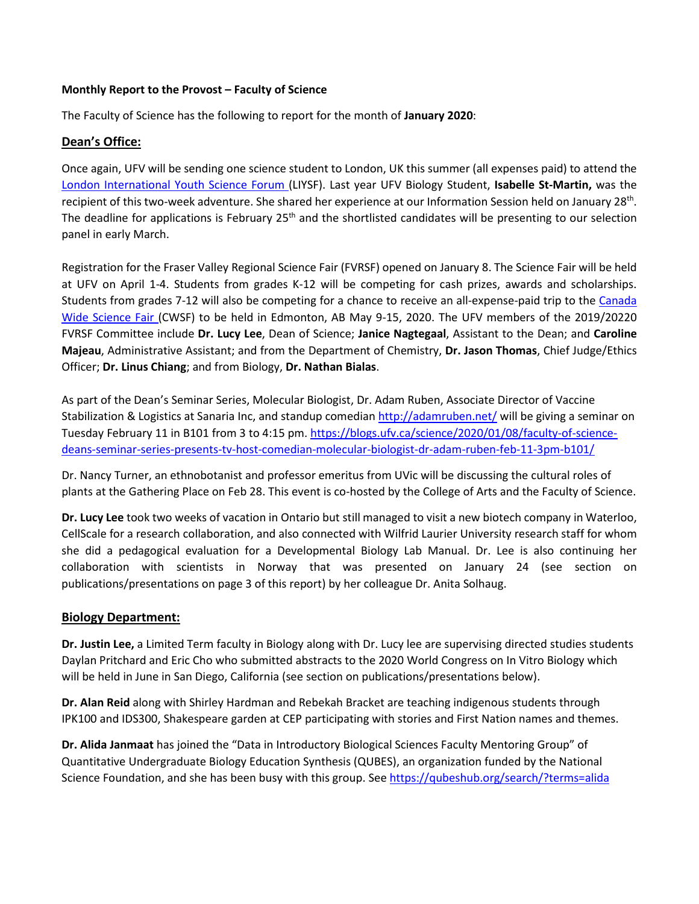### **Monthly Report to the Provost – Faculty of Science**

The Faculty of Science has the following to report for the month of **January 2020**:

### **Dean's Office:**

Once again, UFV will be sending one science student to London, UK this summer (all expenses paid) to attend the [London International Youth Science Forum \(](https://www.liysf.org.uk/)LIYSF). Last year UFV Biology Student, **Isabelle St-Martin,** was the recipient of this two-week adventure. She shared her experience at our Information Session held on January 28<sup>th</sup>. The deadline for applications is February 25<sup>th</sup> and the shortlisted candidates will be presenting to our selection panel in early March.

Registration for the Fraser Valley Regional Science Fair (FVRSF) opened on January 8. The Science Fair will be held at UFV on April 1-4. Students from grades K-12 will be competing for cash prizes, awards and scholarships. Students from grades 7-12 will also be competing for a chance to receive an all-expense-paid trip to the Canada [Wide Science Fair \(](https://cwsf.youthscience.ca/welcome-cwsf)CWSF) to be held in Edmonton, AB May 9-15, 2020. The UFV members of the 2019/20220 FVRSF Committee include **Dr. Lucy Lee**, Dean of Science; **Janice Nagtegaal**, Assistant to the Dean; and **Caroline Majeau**, Administrative Assistant; and from the Department of Chemistry, **Dr. Jason Thomas**, Chief Judge/Ethics Officer; **Dr. Linus Chiang**; and from Biology, **Dr. Nathan Bialas**.

As part of the Dean's Seminar Series, Molecular Biologist, Dr. Adam Ruben, Associate Director of Vaccine Stabilization & Logistics at Sanaria Inc, and standup comedia[n http://adamruben.net/](http://adamruben.net/) will be giving a seminar on Tuesday February 11 in B101 from 3 to 4:15 pm. [https://blogs.ufv.ca/science/2020/01/08/faculty-of-science](https://blogs.ufv.ca/science/2020/01/08/faculty-of-science-deans-seminar-series-presents-tv-host-comedian-molecular-biologist-dr-adam-ruben-feb-11-3pm-b101/)[deans-seminar-series-presents-tv-host-comedian-molecular-biologist-dr-adam-ruben-feb-11-3pm-b101/](https://blogs.ufv.ca/science/2020/01/08/faculty-of-science-deans-seminar-series-presents-tv-host-comedian-molecular-biologist-dr-adam-ruben-feb-11-3pm-b101/)

Dr. Nancy Turner, an ethnobotanist and professor emeritus from UVic will be discussing the cultural roles of plants at the Gathering Place on Feb 28. This event is co-hosted by the College of Arts and the Faculty of Science.

**Dr. Lucy Lee** took two weeks of vacation in Ontario but still managed to visit a new biotech company in Waterloo, CellScale for a research collaboration, and also connected with Wilfrid Laurier University research staff for whom she did a pedagogical evaluation for a Developmental Biology Lab Manual. Dr. Lee is also continuing her collaboration with scientists in Norway that was presented on January 24 (see section on publications/presentations on page 3 of this report) by her colleague Dr. Anita Solhaug.

### **Biology Department:**

**Dr. Justin Lee,** a Limited Term faculty in Biology along with Dr. Lucy lee are supervising directed studies students Daylan Pritchard and Eric Cho who submitted abstracts to the 2020 World Congress on In Vitro Biology which will be held in June in San Diego, California (see section on publications/presentations below).

**Dr. Alan Reid** along with Shirley Hardman and Rebekah Bracket are teaching indigenous students through IPK100 and IDS300, Shakespeare garden at CEP participating with stories and First Nation names and themes.

**Dr. Alida Janmaat** has joined the "Data in Introductory Biological Sciences Faculty Mentoring Group" of Quantitative Undergraduate Biology Education Synthesis (QUBES), an organization funded by the National Science Foundation, and she has been busy with this group. See<https://qubeshub.org/search/?terms=alida>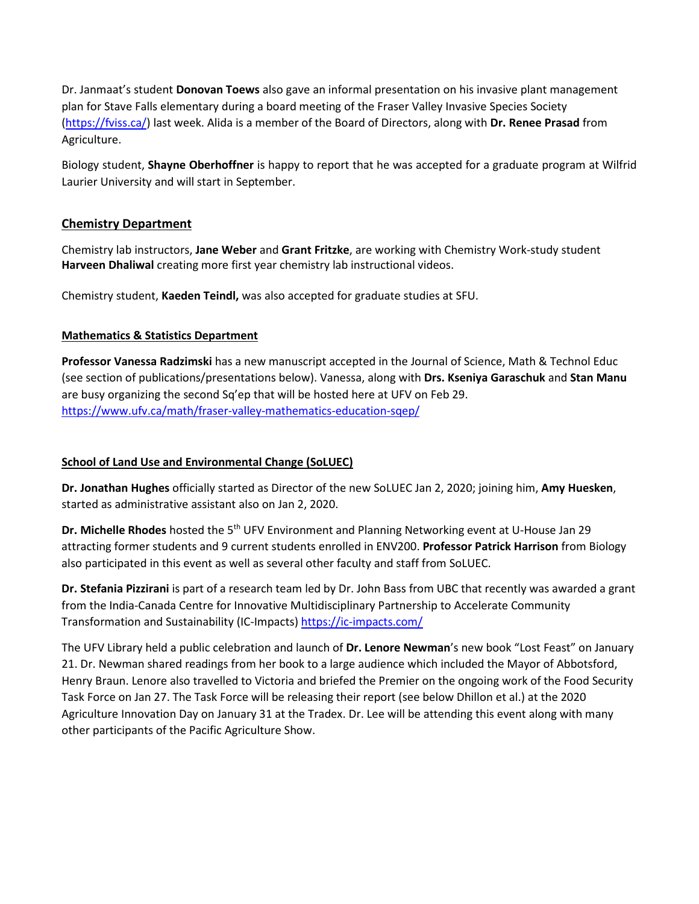Dr. Janmaat's student **Donovan Toews** also gave an informal presentation on his invasive plant management plan for Stave Falls elementary during a board meeting of the Fraser Valley Invasive Species Society [\(https://fviss.ca/\)](https://fviss.ca/) last week. Alida is a member of the Board of Directors, along with **Dr. Renee Prasad** from Agriculture.

Biology student, **Shayne Oberhoffner** is happy to report that he was accepted for a graduate program at Wilfrid Laurier University and will start in September.

# **Chemistry Department**

Chemistry lab instructors, **Jane Weber** and **Grant Fritzke**, are working with Chemistry Work-study student **Harveen Dhaliwal** creating more first year chemistry lab instructional videos.

Chemistry student, **Kaeden Teindl,** was also accepted for graduate studies at SFU.

## **Mathematics & Statistics Department**

**Professor Vanessa Radzimski** has a new manuscript accepted in the Journal of Science, Math & Technol Educ (see section of publications/presentations below). Vanessa, along with **Drs. Kseniya Garaschuk** and **Stan Manu** are busy organizing the second Sq'ep that will be hosted here at UFV on Feb 29. <https://www.ufv.ca/math/fraser-valley-mathematics-education-sqep/>

### **School of Land Use and Environmental Change (SoLUEC)**

**Dr. Jonathan Hughes** officially started as Director of the new SoLUEC Jan 2, 2020; joining him, **Amy Huesken**, started as administrative assistant also on Jan 2, 2020.

**Dr. Michelle Rhodes** hosted the 5th UFV Environment and Planning Networking event at U-House Jan 29 attracting former students and 9 current students enrolled in ENV200. **Professor Patrick Harrison** from Biology also participated in this event as well as several other faculty and staff from SoLUEC.

**Dr. Stefania Pizzirani** is part of a research team led by Dr. John Bass from UBC that recently was awarded a grant from the India-Canada Centre for Innovative Multidisciplinary Partnership to Accelerate Community Transformation and Sustainability (IC-Impacts)<https://ic-impacts.com/>

The UFV Library held a public celebration and launch of **Dr. Lenore Newman**'s new book "Lost Feast" on January 21. Dr. Newman shared readings from her book to a large audience which included the Mayor of Abbotsford, Henry Braun. Lenore also travelled to Victoria and briefed the Premier on the ongoing work of the Food Security Task Force on Jan 27. The Task Force will be releasing their report (see below Dhillon et al.) at the 2020 Agriculture Innovation Day on January 31 at the Tradex. Dr. Lee will be attending this event along with many other participants of the Pacific Agriculture Show.